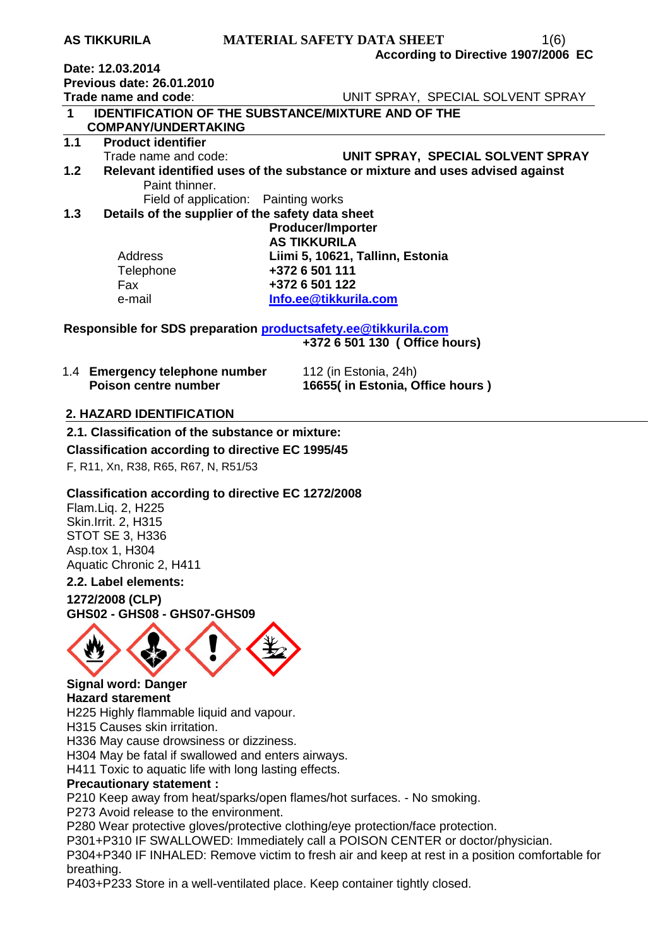| AS IINNUKILA                     | MAILKIAL SAFEI Y DATA SHEEI<br>1(0)                                           |
|----------------------------------|-------------------------------------------------------------------------------|
|                                  | According to Directive 1907/2006 EC                                           |
| Date: 12.03.2014                 |                                                                               |
| <b>Previous date: 26.01.2010</b> |                                                                               |
| Trade name and code:             | UNIT SPRAY, SPECIAL SOLVENT SPRAY                                             |
| $\mathbf 1$                      | <b>IDENTIFICATION OF THE SUBSTANCE/MIXTURE AND OF THE</b>                     |
| <b>COMPANY/UNDERTAKING</b>       |                                                                               |
| 1.1<br><b>Product identifier</b> |                                                                               |
| Trade name and code:             | UNIT SPRAY, SPECIAL SOLVENT SPRAY                                             |
| 1.2 <sub>1</sub>                 | Relevant identified uses of the substance or mixture and uses advised against |
| Paint thinner.                   |                                                                               |
|                                  | Field of application: Painting works                                          |
| 1.3                              | Details of the supplier of the safety data sheet                              |
|                                  | <b>Producer/Importer</b>                                                      |
|                                  | <b>AS TIKKURILA</b>                                                           |
| Address                          | Liimi 5, 10621, Tallinn, Estonia                                              |
| Telephone                        | +372 6 501 111                                                                |
| Fax                              | +372 6 501 122                                                                |
| e-mail                           | Info.ee@tikkurila.com                                                         |
|                                  |                                                                               |
|                                  | Responsible for SDS preparation productsafety.ee@tikkurila.com                |

**AS TIKKURILA MATERIAL SAFETY DATA SHEET** 1(6)

**+372 6 501 130 ( Office hours)** 

| 1.4 Emergency telephone number | 112 (in Estonia, 24h)           |  |
|--------------------------------|---------------------------------|--|
| Poison centre number           | 16655(in Estonia, Office hours) |  |

## **2. HAZARD IDENTIFICATION**

### **2.1. Classification of the substance or mixture:**

**Classification according to directive EC 1995/45** 

F, R11, Xn, R38, R65, R67, N, R51/53

### **Classification according to directive EC 1272/2008**

Flam.Liq. 2, H225 Skin.Irrit. 2, H315 STOT SE 3, H336 Asp.tox 1, H304 Aquatic Chronic 2, H411

### **2.2. Label elements:**

**1272/2008 (CLP) GHS02 - GHS08 - GHS07-GHS09**



#### **Signal word: Danger Hazard starement**

H225 Highly flammable liquid and vapour.

H315 Causes skin irritation.

H336 May cause drowsiness or dizziness.

H304 May be fatal if swallowed and enters airways.

H411 Toxic to aquatic life with long lasting effects.

### **Precautionary statement :**

P210 Keep away from heat/sparks/open flames/hot surfaces. - No smoking.

P273 Avoid release to the environment.

P280 Wear protective gloves/protective clothing/eye protection/face protection.

P301+P310 IF SWALLOWED: Immediately call a POISON CENTER or doctor/physician.

P304+P340 IF INHALED: Remove victim to fresh air and keep at rest in a position comfortable for breathing.

P403+P233 Store in a well-ventilated place. Keep container tightly closed.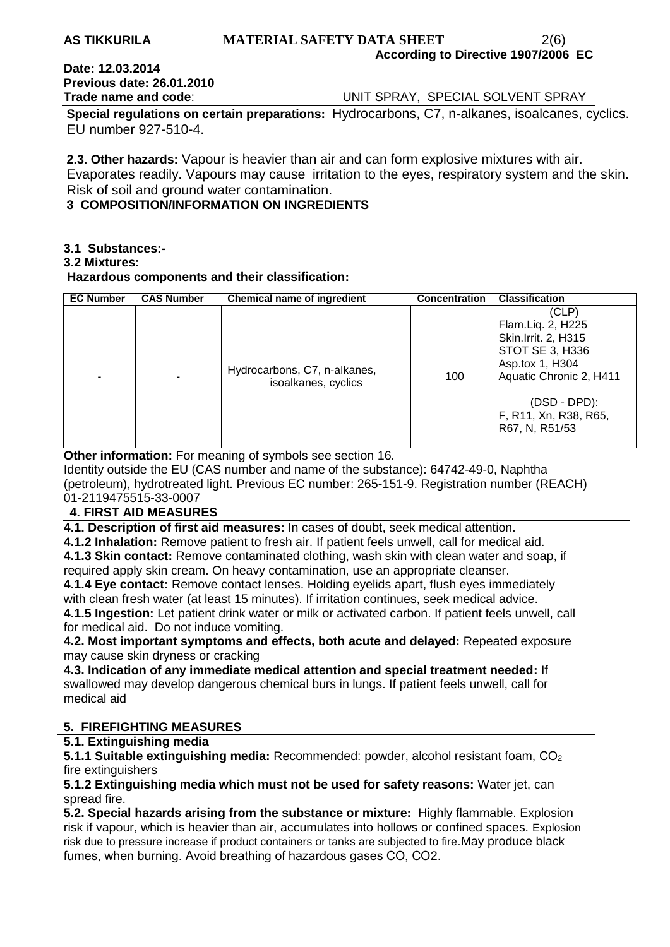### **AS TIKKURILA MATERIAL SAFETY DATA SHEET** 2(6) **According to Directive 1907/2006 EC**

## **Date: 12.03.2014 Previous date: 26.01.2010**

**Trade name and code:** UNIT SPRAY, SPECIAL SOLVENT SPRAY

**Special regulations on certain preparations:** Hydrocarbons, C7, n-alkanes, isoalcanes, cyclics. EU number 927-510-4.

**2.3. Other hazards:** Vapour is heavier than air and can form explosive mixtures with air. Evaporates readily. Vapours may cause irritation to the eyes, respiratory system and the skin. Risk of soil and ground water contamination.

## **3 COMPOSITION/INFORMATION ON INGREDIENTS**

## **3.1 Substances:-**

### **3.2 Mixtures:**

### **Hazardous components and their classification:**

| <b>EC Number</b> | <b>CAS Number</b> | Chemical name of ingredient                         | <b>Concentration</b> | <b>Classification</b>                                                                                                                                                             |
|------------------|-------------------|-----------------------------------------------------|----------------------|-----------------------------------------------------------------------------------------------------------------------------------------------------------------------------------|
|                  |                   | Hydrocarbons, C7, n-alkanes,<br>isoalkanes, cyclics | 100                  | (CLP)<br>Flam.Liq. 2, H225<br>Skin. Irrit. 2, H315<br>STOT SE 3, H336<br>Asp.tox 1, H304<br>Aquatic Chronic 2, H411<br>$(DSD - DPD)$ :<br>F, R11, Xn, R38, R65,<br>R67, N, R51/53 |

**Other information:** For meaning of symbols see section 16.

Identity outside the EU (CAS number and name of the substance): 64742-49-0, Naphtha (petroleum), hydrotreated light. Previous EC number: 265-151-9. Registration number (REACH) 01-2119475515-33-0007

## **4. FIRST AID MEASURES**

**4.1. Description of first aid measures:** In cases of doubt, seek medical attention.

**4.1.2 Inhalation:** Remove patient to fresh air. If patient feels unwell, call for medical aid. **4.1.3 Skin contact:** Remove contaminated clothing, wash skin with clean water and soap, if required apply skin cream. On heavy contamination, use an appropriate cleanser.

**4.1.4 Eye contact:** Remove contact lenses. Holding eyelids apart, flush eyes immediately with clean fresh water (at least 15 minutes). If irritation continues, seek medical advice.

**4.1.5 Ingestion:** Let patient drink water or milk or activated carbon. If patient feels unwell, call for medical aid. Do not induce vomiting.

**4.2. Most important symptoms and effects, both acute and delayed:** Repeated exposure may cause skin dryness or cracking

**4.3. Indication of any immediate medical attention and special treatment needed:** If swallowed may develop dangerous chemical burs in lungs. If patient feels unwell, call for medical aid

## **5. FIREFIGHTING MEASURES**

## **5.1. Extinguishing media**

**5.1.1 Suitable extinguishing media: Recommended: powder, alcohol resistant foam, CO<sub>2</sub>** fire extinguishers

**5.1.2 Extinguishing media which must not be used for safety reasons:** Water jet, can spread fire.

**5.2. Special hazards arising from the substance or mixture:** Highly flammable. Explosion risk if vapour, which is heavier than air, accumulates into hollows or confined spaces. Explosion risk due to pressure increase if product containers or tanks are subjected to fire.May produce black fumes, when burning. Avoid breathing of hazardous gases СО, СО2.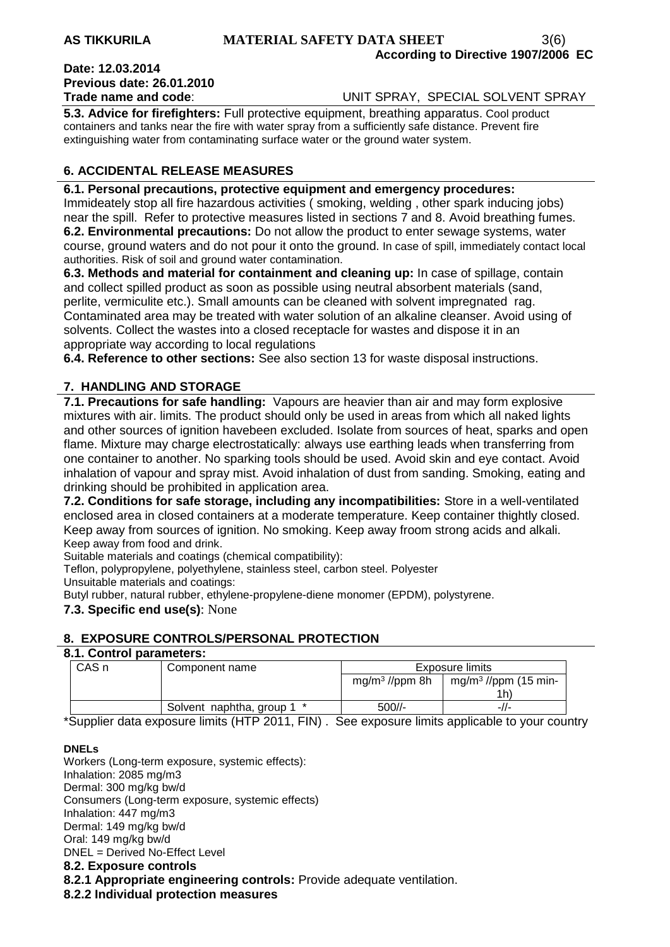## **Date: 12.03.2014 Previous date: 26.01.2010**

**Trade name and code**: UNIT SPRAY, SPECIAL SOLVENT SPRAY

**5.3. Advice for firefighters:** Full protective equipment, breathing apparatus. Cool product containers and tanks near the fire with water spray from a sufficiently safe distance. Prevent fire extinguishing water from contaminating surface water or the ground water system.

## **6. ACCIDENTAL RELEASE MEASURES**

### **6.1. Personal precautions, protective equipment and emergency procedures:**

Immideately stop all fire hazardous activities ( smoking, welding , other spark inducing jobs) near the spill. Refer to protective measures listed in sections 7 and 8. Avoid breathing fumes. **6.2. Environmental precautions:** Do not allow the product to enter sewage systems, water course, ground waters and do not pour it onto the ground. In case of spill, immediately contact local authorities. Risk of soil and ground water contamination.

**6.3. Methods and material for containment and cleaning up:** In case of spillage, contain and collect spilled product as soon as possible using neutral absorbent materials (sand, perlite, vermiculite etc.). Small amounts can be cleaned with solvent impregnated rag. Contaminated area may be treated with water solution of an alkaline cleanser. Avoid using of solvents. Collect the wastes into a closed receptacle for wastes and dispose it in an appropriate way according to local regulations

**6.4. Reference to other sections:** See also section 13 for waste disposal instructions.

## **7. HANDLING AND STORAGE**

**7.1. Precautions for safe handling:** Vapours are heavier than air and may form explosive mixtures with air. limits. The product should only be used in areas from which all naked lights and other sources of ignition havebeen excluded. Isolate from sources of heat, sparks and open flame. Mixture may charge electrostatically: always use earthing leads when transferring from one container to another. No sparking tools should be used. Avoid skin and eye contact. Avoid inhalation of vapour and spray mist. Avoid inhalation of dust from sanding. Smoking, eating and drinking should be prohibited in application area.

**7.2. Conditions for safe storage, including any incompatibilities:** Store in a well-ventilated enclosed area in closed containers at a moderate temperature. Keep container thightly closed. Keep away from sources of ignition. No smoking. Keep away froom strong acids and alkali. Keep away from food and drink.

Suitable materials and coatings (chemical compatibility):

Teflon, polypropylene, polyethylene, stainless steel, carbon steel. Polyester

Unsuitable materials and coatings:

Butyl rubber, natural rubber, ethylene-propylene-diene monomer (EPDM), polystyrene.

### **7.3. Specific end use(s)**: None

## **8. EXPOSURE CONTROLS/PERSONAL PROTECTION**

### **8.1. Control parameters:**

| CAS <sub>n</sub> | Component name             | Exposure limits            |                                  |
|------------------|----------------------------|----------------------------|----------------------------------|
|                  |                            | mg/m <sup>3</sup> //ppm 8h | mg/m <sup>3</sup> //ppm (15 min- |
|                  |                            |                            | 1h.                              |
|                  | Solvent naphtha, group 1 * | 500//-                     | -//-                             |

\*Supplier data exposure limits (HTP 2011, FIN) . See exposure limits applicable to your country

#### **DNELs**

Workers (Long-term exposure, systemic effects): Inhalation: 2085 mg/m3 Dermal: 300 mg/kg bw/d Consumers (Long-term exposure, systemic effects) Inhalation: 447 mg/m3 Dermal: 149 mg/kg bw/d Oral: 149 mg/kg bw/d DNEL = Derived No-Effect Level **8.2. Exposure controls 8.2.1 Appropriate engineering controls:** Provide adequate ventilation.

**8.2.2 Individual protection measures**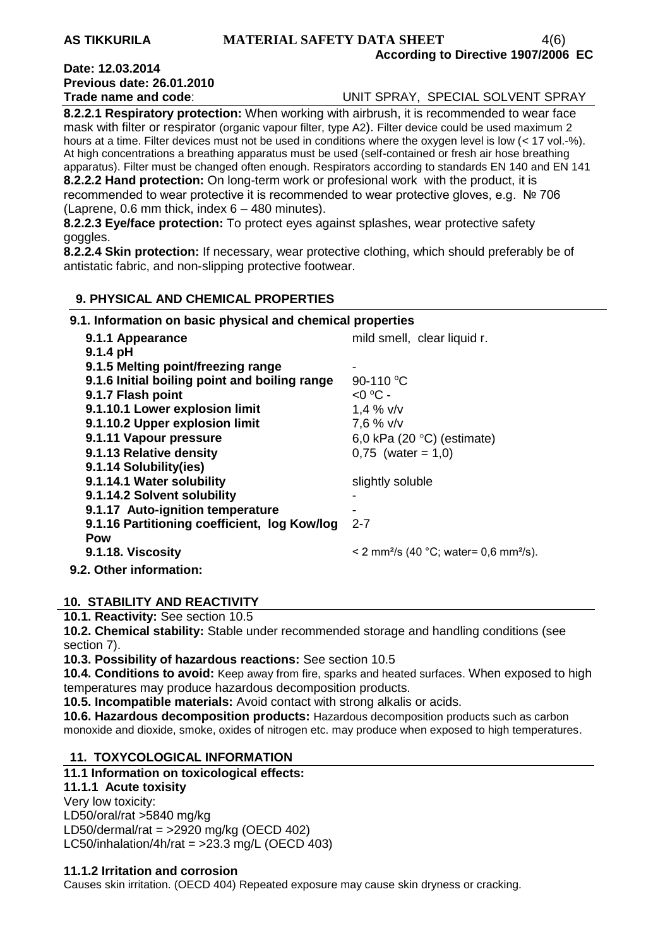### **AS TIKKURILA MATERIAL SAFETY DATA SHEET** 4(6) **According to Directive 1907/2006 EC**

# **Date: 12.03.2014 Previous date: 26.01.2010**

**Trade name and code**: UNIT SPRAY, SPECIAL SOLVENT SPRAY

**8.2.2.1 Respiratory protection:** When working with airbrush, it is recommended to wear face mask with filter or respirator (organic vapour filter, type A2). Filter device could be used maximum 2 hours at a time. Filter devices must not be used in conditions where the oxygen level is low (< 17 vol.-%). At high concentrations a breathing apparatus must be used (self-contained or fresh air hose breathing apparatus). Filter must be changed often enough. Respirators according to standards EN 140 and EN 141 **8.2.2.2 Hand protection:** On long-term work or profesional work with the product, it is recommended to wear protective it is recommended to wear protective gloves, e.g. № 706 (Laprene, 0.6 mm thick, index 6 – 480 minutes).

**8.2.2.3 Eye/face protection:** To protect eyes against splashes, wear protective safety goggles.

**8.2.2.4 Skin protection:** If necessary, wear protective clothing, which should preferably be of antistatic fabric, and non-slipping protective footwear.

## **9. PHYSICAL AND CHEMICAL PROPERTIES**

**9.1. Information on basic physical and chemical properties** 

| 9.1.1 Appearance                              | mild smell, clear liquid r.                                    |
|-----------------------------------------------|----------------------------------------------------------------|
| $9.1.4$ pH                                    |                                                                |
| 9.1.5 Melting point/freezing range            |                                                                |
| 9.1.6 Initial boiling point and boiling range | 90-110 °C                                                      |
| 9.1.7 Flash point                             | $<$ 0 °C -                                                     |
| 9.1.10.1 Lower explosion limit                | 1,4 $% v/v$                                                    |
| 9.1.10.2 Upper explosion limit                | 7,6 % v/v                                                      |
| 9.1.11 Vapour pressure                        | 6,0 kPa (20 $\degree$ C) (estimate)                            |
| 9.1.13 Relative density                       | $0,75$ (water = 1,0)                                           |
| 9.1.14 Solubility(ies)                        |                                                                |
| 9.1.14.1 Water solubility                     | slightly soluble                                               |
| 9.1.14.2 Solvent solubility                   |                                                                |
| 9.1.17 Auto-ignition temperature              |                                                                |
| 9.1.16 Partitioning coefficient, log Kow/log  | $2 - 7$                                                        |
| Pow                                           |                                                                |
| 9.1.18. Viscosity                             | < 2 mm <sup>2</sup> /s (40 °C; water= 0,6 mm <sup>2</sup> /s). |
| 9.2. Other information:                       |                                                                |

## **10. STABILITY AND REACTIVITY**

**10.1. Reactivity:** See section 10.5

**10.2. Chemical stability:** Stable under recommended storage and handling conditions (see section 7).

**10.3. Possibility of hazardous reactions:** See section 10.5

**10.4. Conditions to avoid:** Keep away from fire, sparks and heated surfaces. When exposed to high temperatures may produce hazardous decomposition products.

**10.5. Incompatible materials:** Avoid contact with strong alkalis or acids.

**10.6. Hazardous decomposition products:** Hazardous decomposition products such as carbon monoxide and dioxide, smoke, oxides of nitrogen etc. may produce when exposed to high temperatures.

## **11. TOXYCOLOGICAL INFORMATION**

## **11.1 Information on toxicological effects:**

**11.1.1 Acute toxisity**

Very low toxicity: LD50/oral/rat >5840 mg/kg LD50/dermal/rat = >2920 mg/kg (OECD 402) LC50/inhalation/4h/rat =  $>23.3$  mg/L (OECD 403)

### **11.1.2 Irritation and corrosion**

Causes skin irritation. (OECD 404) Repeated exposure may cause skin dryness or cracking.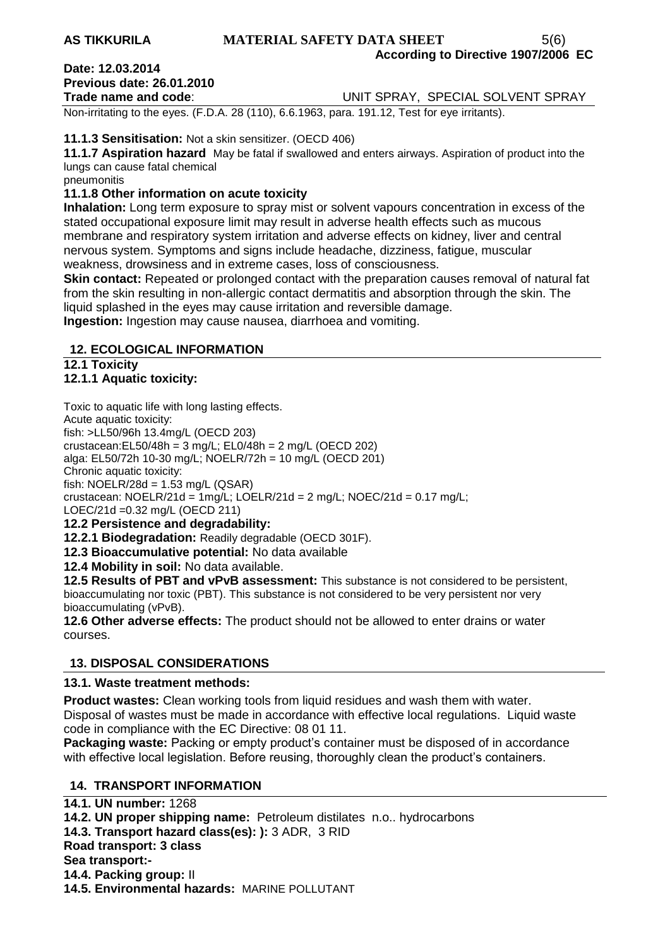### **AS TIKKURILA MATERIAL SAFETY DATA SHEET** 5(6) **According to Directive 1907/2006 EC**

# **Date: 12.03.2014 Previous date: 26.01.2010**

### **Trade name and code**: UNIT SPRAY, SPECIAL SOLVENT SPRAY

Non-irritating to the eyes. (F.D.A. 28 (110), 6.6.1963, para. 191.12, Test for eye irritants).

### **11.1.3 Sensitisation:** Not a skin sensitizer. (OECD 406)

**11.1.7 Aspiration hazard** May be fatal if swallowed and enters airways. Aspiration of product into the lungs can cause fatal chemical

pneumonitis

## **11.1.8 Other information on acute toxicity**

**Inhalation:** Long term exposure to spray mist or solvent vapours concentration in excess of the stated occupational exposure limit may result in adverse health effects such as mucous membrane and respiratory system irritation and adverse effects on kidney, liver and central nervous system. Symptoms and signs include headache, dizziness, fatigue, muscular weakness, drowsiness and in extreme cases, loss of consciousness.

**Skin contact:** Repeated or prolonged contact with the preparation causes removal of natural fat from the skin resulting in non-allergic contact dermatitis and absorption through the skin. The liquid splashed in the eyes may cause irritation and reversible damage.

**Ingestion:** Ingestion may cause nausea, diarrhoea and vomiting.

### **12. ECOLOGICAL INFORMATION**

**12.1 Toxicity**

## **12.1.1 Aquatic toxicity:**

Toxic to aquatic life with long lasting effects.

Acute aquatic toxicity:

fish: >LL50/96h 13.4mg/L (OECD 203)

crustacean:EL50/48h = 3 mg/L; EL0/48h = 2 mg/L (OECD 202) alga: EL50/72h 10-30 mg/L; NOELR/72h = 10 mg/L (OECD 201)

Chronic aquatic toxicity:

fish: NOELR/28d = 1.53 mg/L (QSAR)

crustacean: NOELR/21d =  $1$ mg/L; LOELR/21d =  $2$  mg/L; NOEC/21d =  $0.17$  mg/L;

LOEC/21d =0.32 mg/L (OECD 211)

### **12.2 Persistence and degradability:**

**12.2.1 Biodegradation:** Readily degradable (OECD 301F).

**12.3 Bioaccumulative potential:** No data available

**12.4 Mobility in soil:** No data available.

**12.5 Results of PBT and vPvB assessment:** This substance is not considered to be persistent, bioaccumulating nor toxic (PBT). This substance is not considered to be very persistent nor very bioaccumulating (vPvB).

**12.6 Other adverse effects:** The product should not be allowed to enter drains or water courses.

## **13. DISPOSAL CONSIDERATIONS**

## **13.1. Waste treatment methods:**

**Product wastes:** Clean working tools from liquid residues and wash them with water. Disposal of wastes must be made in accordance with effective local regulations. Liquid waste code in compliance with the EC Directive: 08 01 11.

**Packaging waste:** Packing or empty product's container must be disposed of in accordance with effective local legislation. Before reusing, thoroughly clean the product's containers.

## **14. TRANSPORT INFORMATION**

**14.1. UN number:** 1268 **14.2. UN proper shipping name:** Petroleum distilates n.o.. hydrocarbons **14.3. Transport hazard class(es): ):** 3 ADR, 3 RID **Road transport: 3 class Sea transport:- 14.4. Packing group:** II **14.5. Environmental hazards:** MARINE POLLUTANT